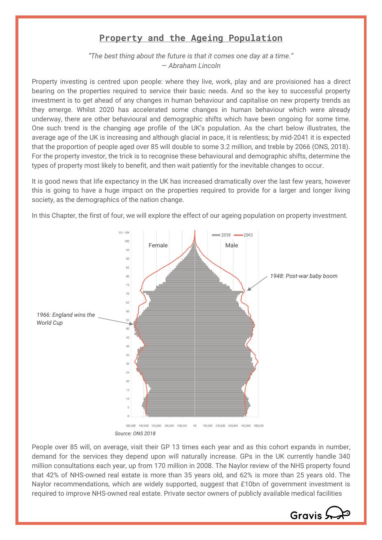## **Property and the Ageing Population**

*"The best thing about the future is that it comes one day at a time." ― Abraham Lincoln*

Property investing is centred upon people: where they live, work, play and are provisioned has a direct bearing on the properties required to service their basic needs. And so the key to successful property investment is to get ahead of any changes in human behaviour and capitalise on new property trends as they emerge. Whilst 2020 has accelerated some changes in human behaviour which were already underway, there are other behavioural and demographic shifts which have been ongoing for some time. One such trend is the changing age profile of the UK's population. As the chart below illustrates, the average age of the UK is increasing and although glacial in pace, it is relentless; by mid-2041 it is expected that the proportion of people aged over 85 will double to some 3.2 million, and treble by 2066 (ONS, 2018). For the property investor, the trick is to recognise these behavioural and demographic shifts, determine the types of property most likely to benefit, and then wait patiently for the inevitable changes to occur.

It is good news that life expectancy in the UK has increased dramatically over the last few years, however this is going to have a huge impact on the properties required to provide for a larger and longer living society, as the demographics of the nation change.

In this Chapter, the first of four, we will explore the effect of our ageing population on property investment.



*Source: ONS 2018*

People over 85 will, on average, visit their GP 13 times each year and as this cohort expands in number, demand for the services they depend upon will naturally increase. GPs in the UK currently handle 340 million consultations each year, up from 170 million in 2008. The Naylor review of the NHS property found that 42% of NHS-owned real estate is more than 35 years old, and 62% is more than 25 years old. The Naylor recommendations, which are widely supported, suggest that £10bn of government investment is required to improve NHS-owned real estate. Private sector owners of publicly available medical facilities

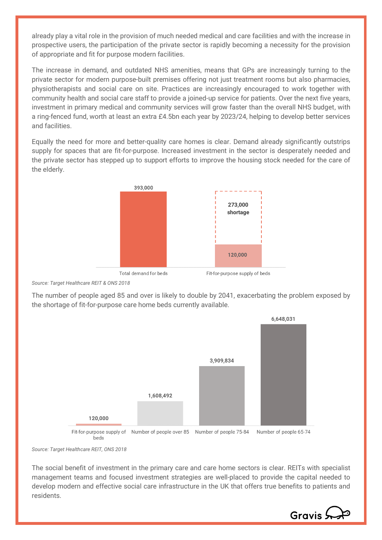already play a vital role in the provision of much needed medical and care facilities and with the increase in prospective users, the participation of the private sector is rapidly becoming a necessity for the provision of appropriate and fit for purpose modern facilities.

The increase in demand, and outdated NHS amenities, means that GPs are increasingly turning to the private sector for modern purpose-built premises offering not just treatment rooms but also pharmacies, physiotherapists and social care on site. Practices are increasingly encouraged to work together with community health and social care staff to provide a joined-up service for patients. Over the next five years, investment in primary medical and community services will grow faster than the overall NHS budget, with a ring-fenced fund, worth at least an extra £4.5bn each year by 2023/24, helping to develop better services and facilities.

Equally the need for more and better-quality care homes is clear. Demand already significantly outstrips supply for spaces that are fit-for-purpose. Increased investment in the sector is desperately needed and the private sector has stepped up to support efforts to improve the housing stock needed for the care of the elderly.



*Source: Target Healthcare REIT & ONS 2018*

The number of people aged 85 and over is likely to double by 2041, exacerbating the problem exposed by the shortage of fit-for-purpose care home beds currently available.



*Source: Target Healthcare REIT, ONS 2018*

The social benefit of investment in the primary care and care home sectors is clear. REITs with specialist management teams and focused investment strategies are well-placed to provide the capital needed to develop modern and effective social care infrastructure in the UK that offers true benefits to patients and residents.

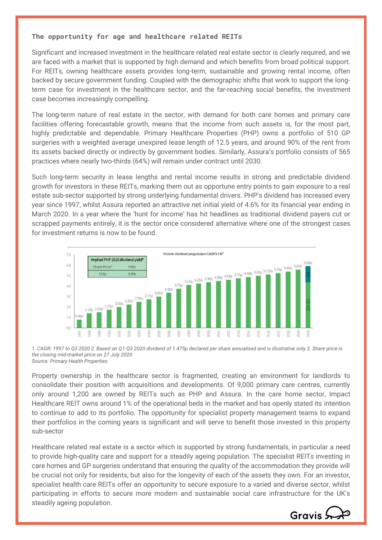## **The opportunity for age and healthcare related REITs**

Significant and increased investment in the healthcare related real estate sector is clearly required, and we are faced with a market that is supported by high demand and which benefits from broad political support. For REITs, owning healthcare assets provides long-term, sustainable and growing rental income, often backed by secure government funding. Coupled with the demographic shifts that work to support the longterm case for investment in the healthcare sector, and the far-reaching social benefits, the investment case becomes increasingly compelling.

The long-term nature of real estate in the sector, with demand for both care homes and primary care facilities offering forecastable growth, means that the income from such assets is, for the most part, highly predictable and dependable. Primary Healthcare Properties (PHP) owns a portfolio of 510 GP surgeries with a weighted average unexpired lease length of 12.5 years, and around 90% of the rent from its assets backed directly or indirectly by government bodies. Similarly, Assura's portfolio consists of 565 practices where nearly two-thirds (64%) will remain under contract until 2030.

Such long-term security in lease lengths and rental income results in strong and predictable dividend growth for investors in these REITs, marking them out as opportune entry points to gain exposure to a real estate sub-sector supported by strong underlying fundamental drivers. PHP's dividend has increased every year since 1997, whilst Assura reported an attractive net initial yield of 4.6% for its financial year ending in March 2020. In a year where the 'hunt for income' has hit headlines as traditional dividend payers cut or scrapped payments entirely, it is the sector once considered alternative where one of the strongest cases for investment returns is now to be found.



*1. CAGR: 1997 to Q3 2020 2. Based on Q1-Q3 2020 dividend of 1.475p declared per share annualised and is illustrative only 3. Share price is the closing mid-market price on 27 July 2020 Source: Primary Health Properties* 

Property ownership in the healthcare sector is fragmented, creating an environment for landlords to consolidate their position with acquisitions and developments. Of 9,000 primary care centres, currently only around 1,200 are owned by REITs such as PHP and Assura. In the care home sector, Impact Healthcare REIT owns around 1% of the operational beds in the market and has openly stated its intention to continue to add to its portfolio. The opportunity for specialist property management teams to expand their portfolios in the coming years is significant and will serve to benefit those invested in this property sub-sector

Healthcare related real estate is a sector which is supported by strong fundamentals, in particular a need to provide high-quality care and support for a steadily ageing population. The specialist REITs investing in care homes and GP surgeries understand that ensuring the quality of the accommodation they provide will be crucial not only for residents, but also for the longevity of each of the assets they own. For an investor, specialist health care REITs offer an opportunity to secure exposure to a varied and diverse sector, whilst participating in efforts to secure more modern and sustainable social care infrastructure for the UK's steadily ageing population.